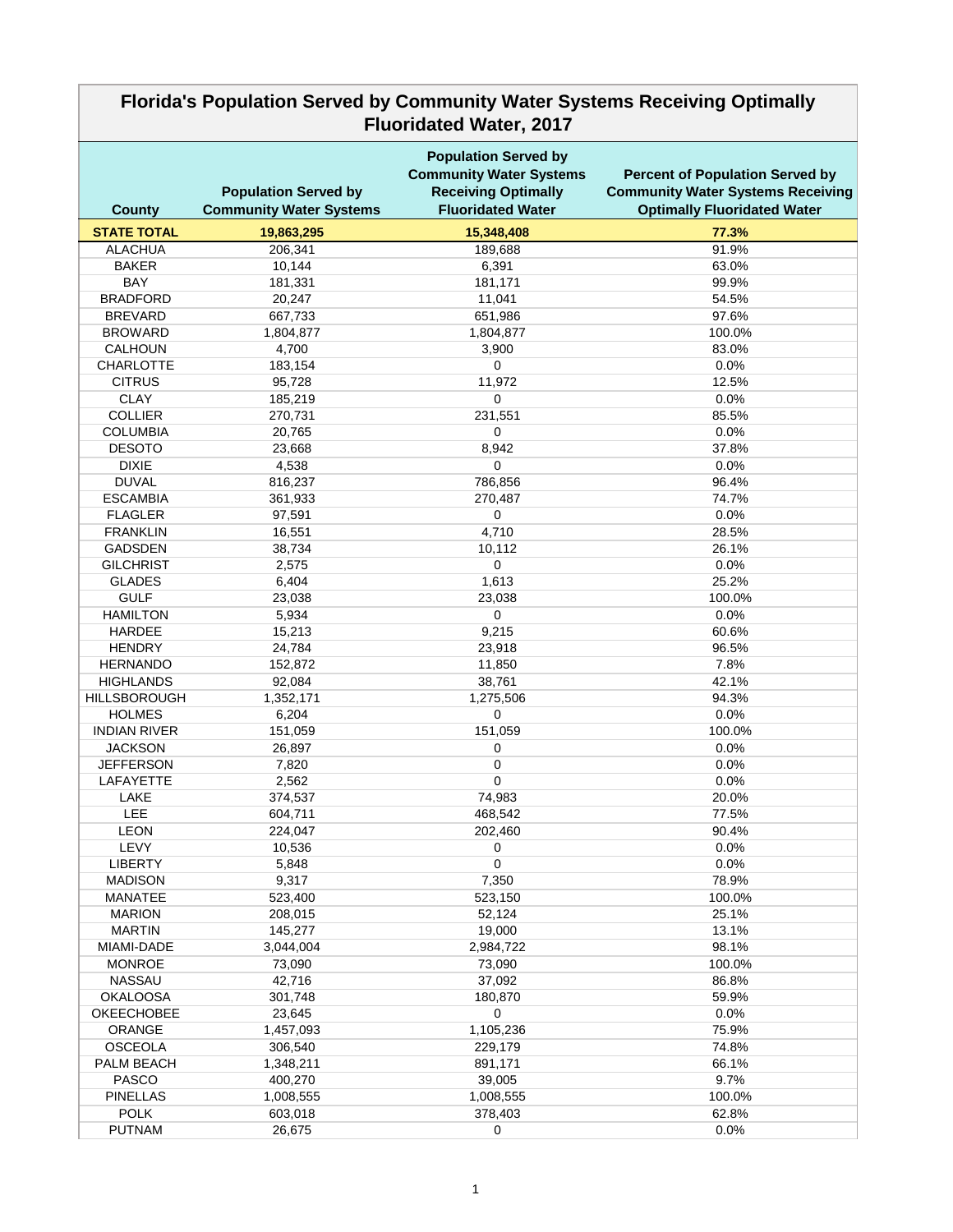| <b>Fluoridated Water, 2017</b>       |                                                               |                                                                                                                         |                                                                                                                          |  |  |
|--------------------------------------|---------------------------------------------------------------|-------------------------------------------------------------------------------------------------------------------------|--------------------------------------------------------------------------------------------------------------------------|--|--|
| <b>County</b>                        | <b>Population Served by</b><br><b>Community Water Systems</b> | <b>Population Served by</b><br><b>Community Water Systems</b><br><b>Receiving Optimally</b><br><b>Fluoridated Water</b> | <b>Percent of Population Served by</b><br><b>Community Water Systems Receiving</b><br><b>Optimally Fluoridated Water</b> |  |  |
| <b>STATE TOTAL</b>                   | 19,863,295                                                    | 15,348,408                                                                                                              | 77.3%                                                                                                                    |  |  |
| <b>ALACHUA</b>                       | 206,341                                                       | 189,688                                                                                                                 | 91.9%                                                                                                                    |  |  |
| <b>BAKER</b>                         | 10,144                                                        | 6,391                                                                                                                   | 63.0%                                                                                                                    |  |  |
| <b>BAY</b>                           | 181,331                                                       | 181,171                                                                                                                 | 99.9%                                                                                                                    |  |  |
| <b>BRADFORD</b>                      | 20,247                                                        | 11,041                                                                                                                  | 54.5%                                                                                                                    |  |  |
| <b>BREVARD</b>                       | 667,733                                                       | 651,986                                                                                                                 | 97.6%                                                                                                                    |  |  |
| <b>BROWARD</b>                       | 1,804,877                                                     | 1,804,877                                                                                                               | 100.0%                                                                                                                   |  |  |
| <b>CALHOUN</b>                       | 4,700                                                         | 3,900                                                                                                                   | 83.0%                                                                                                                    |  |  |
| <b>CHARLOTTE</b>                     | 183,154                                                       | 0                                                                                                                       | 0.0%                                                                                                                     |  |  |
| <b>CITRUS</b>                        | 95,728                                                        | 11,972                                                                                                                  | 12.5%                                                                                                                    |  |  |
| <b>CLAY</b>                          | 185,219                                                       | 0                                                                                                                       | 0.0%                                                                                                                     |  |  |
| <b>COLLIER</b>                       | 270,731                                                       | 231,551                                                                                                                 | 85.5%                                                                                                                    |  |  |
| <b>COLUMBIA</b>                      | 20,765                                                        | $\mathbf 0$                                                                                                             | 0.0%                                                                                                                     |  |  |
| <b>DESOTO</b>                        | 23,668                                                        | 8,942                                                                                                                   | 37.8%                                                                                                                    |  |  |
| <b>DIXIE</b>                         | 4,538                                                         | 0                                                                                                                       | 0.0%                                                                                                                     |  |  |
| <b>DUVAL</b>                         | 816,237                                                       | 786,856                                                                                                                 | 96.4%                                                                                                                    |  |  |
| <b>ESCAMBIA</b>                      | 361,933                                                       | 270,487                                                                                                                 | 74.7%                                                                                                                    |  |  |
| <b>FLAGLER</b>                       | 97,591                                                        | $\mathbf 0$                                                                                                             | 0.0%                                                                                                                     |  |  |
| <b>FRANKLIN</b>                      | 16,551                                                        | 4,710                                                                                                                   | 28.5%                                                                                                                    |  |  |
| <b>GADSDEN</b>                       | 38,734                                                        | 10,112                                                                                                                  | 26.1%                                                                                                                    |  |  |
| <b>GILCHRIST</b>                     | 2,575                                                         | 0                                                                                                                       | 0.0%                                                                                                                     |  |  |
| <b>GLADES</b>                        | 6,404                                                         | 1,613                                                                                                                   | 25.2%                                                                                                                    |  |  |
| <b>GULF</b>                          | 23,038                                                        | 23,038                                                                                                                  | 100.0%                                                                                                                   |  |  |
| <b>HAMILTON</b>                      | 5,934                                                         | 0                                                                                                                       | 0.0%                                                                                                                     |  |  |
| <b>HARDEE</b>                        | 15,213                                                        | 9,215                                                                                                                   | 60.6%                                                                                                                    |  |  |
| <b>HENDRY</b>                        | 24,784                                                        | 23,918                                                                                                                  | 96.5%                                                                                                                    |  |  |
| <b>HERNANDO</b>                      | 152,872                                                       | 11,850                                                                                                                  | 7.8%                                                                                                                     |  |  |
| <b>HIGHLANDS</b>                     | 92,084                                                        | 38,761                                                                                                                  | 42.1%                                                                                                                    |  |  |
| <b>HILLSBOROUGH</b><br><b>HOLMES</b> | 1,352,171<br>6,204                                            | 1,275,506<br>$\mathbf 0$                                                                                                | 94.3%<br>0.0%                                                                                                            |  |  |
| <b>INDIAN RIVER</b>                  | 151,059                                                       | 151,059                                                                                                                 | 100.0%                                                                                                                   |  |  |
| <b>JACKSON</b>                       | 26,897                                                        | 0                                                                                                                       | 0.0%                                                                                                                     |  |  |
| <b>JEFFERSON</b>                     | 7,820                                                         | 0                                                                                                                       | 0.0%                                                                                                                     |  |  |
| <b>LAFAYETTE</b>                     | 2,562                                                         | $\mathbf 0$                                                                                                             | 0.0%                                                                                                                     |  |  |
| <b>LAKE</b>                          | 374,537                                                       | 74,983                                                                                                                  | 20.0%                                                                                                                    |  |  |
| <b>LEE</b>                           | 604,711                                                       | 468,542                                                                                                                 | 77.5%                                                                                                                    |  |  |
| <b>LEON</b>                          | 224,047                                                       | 202,460                                                                                                                 | 90.4%                                                                                                                    |  |  |
| LEVY                                 | 10,536                                                        | 0                                                                                                                       | 0.0%                                                                                                                     |  |  |
| <b>LIBERTY</b>                       | 5,848                                                         | 0                                                                                                                       | 0.0%                                                                                                                     |  |  |
| <b>MADISON</b>                       | 9,317                                                         | 7,350                                                                                                                   | 78.9%                                                                                                                    |  |  |
| <b>MANATEE</b>                       | 523,400                                                       | 523,150                                                                                                                 | 100.0%                                                                                                                   |  |  |
| <b>MARION</b>                        | 208,015                                                       | 52,124                                                                                                                  | 25.1%                                                                                                                    |  |  |
| <b>MARTIN</b>                        | 145,277                                                       | 19,000                                                                                                                  | 13.1%                                                                                                                    |  |  |
| MIAMI-DADE                           | 3,044,004                                                     | 2,984,722                                                                                                               | 98.1%                                                                                                                    |  |  |
| <b>MONROE</b>                        | 73,090                                                        | 73,090                                                                                                                  | 100.0%                                                                                                                   |  |  |
| <b>NASSAU</b>                        | 42,716                                                        | 37,092                                                                                                                  | 86.8%                                                                                                                    |  |  |
| <b>OKALOOSA</b>                      | 301,748                                                       | 180,870                                                                                                                 | 59.9%                                                                                                                    |  |  |
| <b>OKEECHOBEE</b>                    | 23,645                                                        | 0                                                                                                                       | 0.0%                                                                                                                     |  |  |
| <b>ORANGE</b>                        | 1,457,093                                                     | 1,105,236                                                                                                               | 75.9%                                                                                                                    |  |  |
| <b>OSCEOLA</b>                       | 306,540                                                       | 229,179                                                                                                                 | 74.8%                                                                                                                    |  |  |
| PALM BEACH                           | 1,348,211                                                     | 891,171                                                                                                                 | 66.1%                                                                                                                    |  |  |
| <b>PASCO</b>                         | 400,270                                                       | 39,005                                                                                                                  | 9.7%                                                                                                                     |  |  |
| <b>PINELLAS</b>                      | 1,008,555                                                     | 1,008,555                                                                                                               | 100.0%                                                                                                                   |  |  |
| <b>POLK</b>                          | 603,018                                                       | 378,403                                                                                                                 | 62.8%                                                                                                                    |  |  |
| <b>PUTNAM</b>                        | 26,675                                                        | 0                                                                                                                       | 0.0%                                                                                                                     |  |  |

## **Florida's Population Served by Community Water Systems Receiving Optimally**